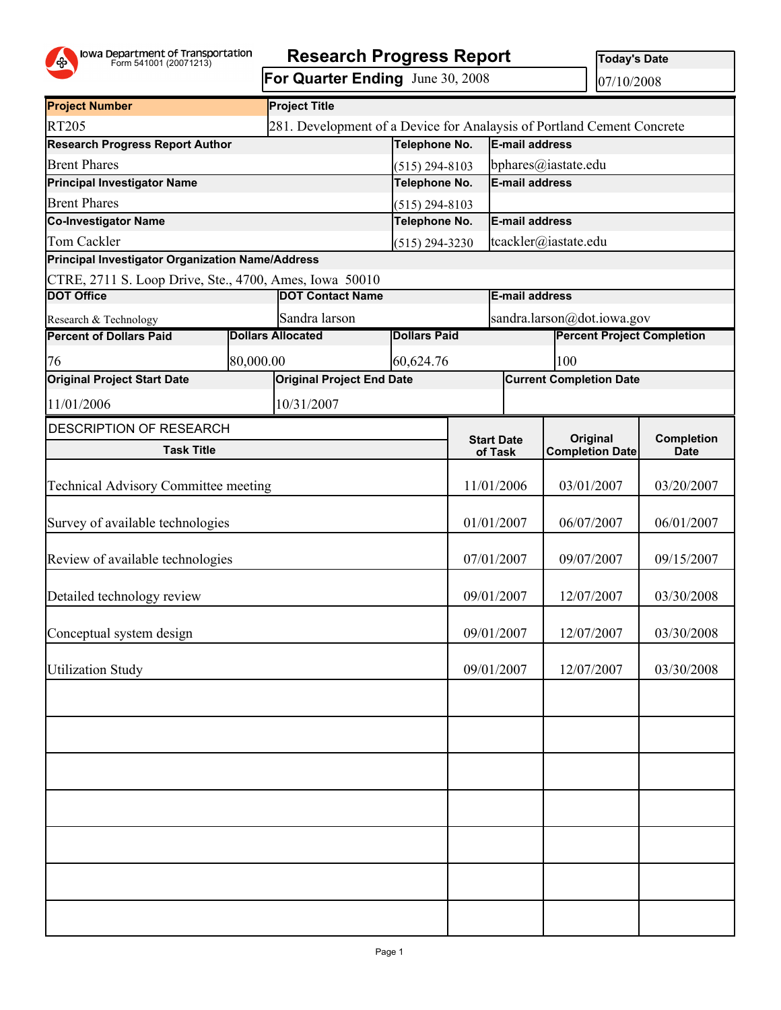

## Form 541001 (20071213) **Research Progress Report**

**For Quarter Ending** June 30, 2008

**Today's Date**

07/10/2008

| <b>Project Number</b>                                  |                         | <b>Project Title</b>             |                              |                                                                        |                                           |                                |            |  |
|--------------------------------------------------------|-------------------------|----------------------------------|------------------------------|------------------------------------------------------------------------|-------------------------------------------|--------------------------------|------------|--|
| <b>RT205</b>                                           |                         |                                  |                              | 281. Development of a Device for Analaysis of Portland Cement Concrete |                                           |                                |            |  |
| <b>Research Progress Report Author</b>                 | Telephone No.           |                                  | E-mail address               |                                                                        |                                           |                                |            |  |
| <b>Brent Phares</b>                                    | $(515)$ 294-8103        |                                  | bphares@iastate.edu          |                                                                        |                                           |                                |            |  |
| <b>Principal Investigator Name</b>                     | Telephone No.           |                                  | E-mail address               |                                                                        |                                           |                                |            |  |
| <b>Brent Phares</b>                                    | $(515)$ 294-8103        |                                  |                              |                                                                        |                                           |                                |            |  |
| Co-Investigator Name                                   | Telephone No.           |                                  | E-mail address               |                                                                        |                                           |                                |            |  |
| Tom Cackler                                            | $(515)$ 294-3230        |                                  | tcackler@iastate.edu         |                                                                        |                                           |                                |            |  |
| Principal Investigator Organization Name/Address       |                         |                                  |                              |                                                                        |                                           |                                |            |  |
| CTRE, 2711 S. Loop Drive, Ste., 4700, Ames, Iowa 50010 |                         |                                  |                              |                                                                        |                                           |                                |            |  |
| <b>DOT Office</b>                                      | <b>DOT Contact Name</b> |                                  |                              | <b>E-mail address</b>                                                  |                                           |                                |            |  |
| Research & Technology                                  |                         | Sandra larson                    |                              |                                                                        | sandra.larson@dot.iowa.gov                |                                |            |  |
| <b>Percent of Dollars Paid</b>                         |                         | <b>Dollars Allocated</b>         | <b>Dollars Paid</b>          |                                                                        | <b>Percent Project Completion</b>         |                                |            |  |
| 76                                                     | 80,000.00               |                                  | 60,624.76                    |                                                                        |                                           | 100                            |            |  |
| <b>Original Project Start Date</b>                     |                         | <b>Original Project End Date</b> |                              |                                                                        |                                           | <b>Current Completion Date</b> |            |  |
| 11/01/2006                                             |                         | 10/31/2007                       |                              |                                                                        |                                           |                                |            |  |
| <b>DESCRIPTION OF RESEARCH</b>                         |                         |                                  |                              |                                                                        |                                           |                                |            |  |
| <b>Task Title</b>                                      |                         |                                  | <b>Start Date</b><br>of Task |                                                                        | <b>Original</b><br><b>Completion Date</b> | Completion<br><b>Date</b>      |            |  |
|                                                        |                         |                                  |                              |                                                                        |                                           |                                |            |  |
| <b>Technical Advisory Committee meeting</b>            |                         |                                  | 11/01/2006                   |                                                                        | 03/01/2007                                | 03/20/2007                     |            |  |
| Survey of available technologies                       |                         | 01/01/2007                       |                              | 06/07/2007                                                             | 06/01/2007                                |                                |            |  |
| Review of available technologies                       |                         | 07/01/2007                       |                              | 09/07/2007                                                             | 09/15/2007                                |                                |            |  |
| Detailed technology review                             |                         |                                  | 09/01/2007                   |                                                                        | 12/07/2007                                | 03/30/2008                     |            |  |
| Conceptual system design                               |                         |                                  |                              | 09/01/2007                                                             |                                           | 12/07/2007                     | 03/30/2008 |  |
| <b>Utilization Study</b>                               |                         |                                  |                              | 09/01/2007                                                             |                                           | 12/07/2007                     | 03/30/2008 |  |
|                                                        |                         |                                  |                              |                                                                        |                                           |                                |            |  |
|                                                        |                         |                                  |                              |                                                                        |                                           |                                |            |  |
|                                                        |                         |                                  |                              |                                                                        |                                           |                                |            |  |
|                                                        |                         |                                  |                              |                                                                        |                                           |                                |            |  |
|                                                        |                         |                                  |                              |                                                                        |                                           |                                |            |  |
|                                                        |                         |                                  |                              |                                                                        |                                           |                                |            |  |
|                                                        |                         |                                  |                              |                                                                        |                                           |                                |            |  |
|                                                        |                         |                                  |                              |                                                                        |                                           |                                |            |  |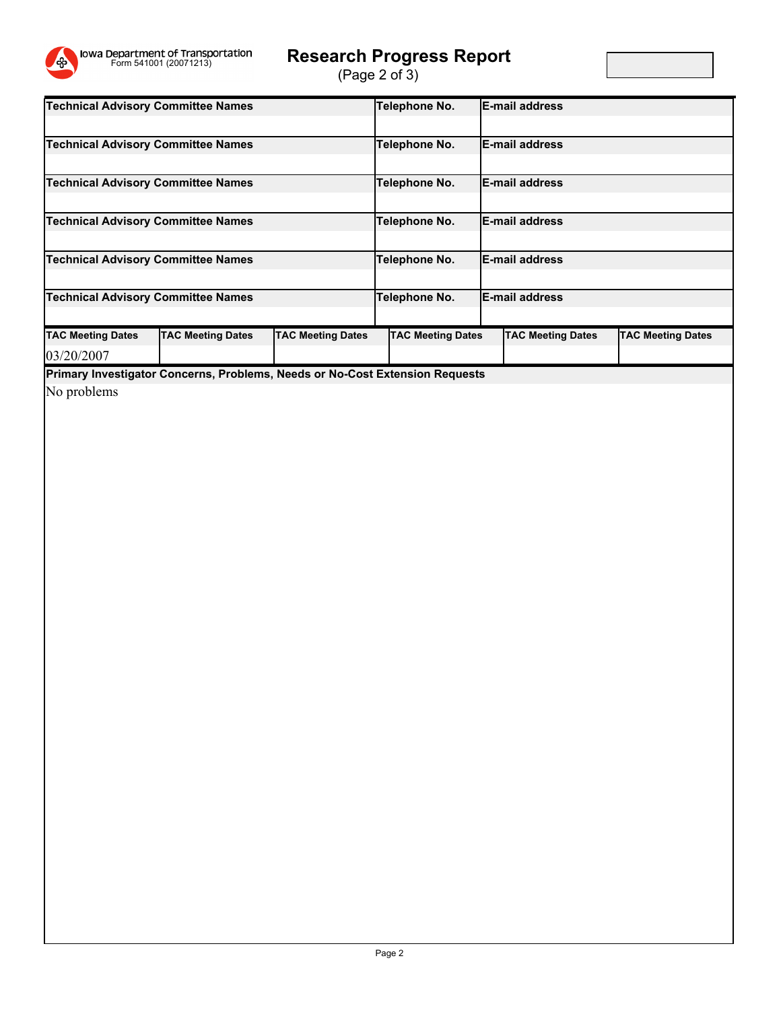

## Form 541001 (20071213) **Research Progress Report**

(Page 2 of 3)

| <b>Technical Advisory Committee Names</b>                                    |                          |                          | Telephone No.            |                        | <b>IE-mail address</b>   |                          |  |
|------------------------------------------------------------------------------|--------------------------|--------------------------|--------------------------|------------------------|--------------------------|--------------------------|--|
|                                                                              |                          |                          |                          |                        |                          |                          |  |
| <b>Technical Advisory Committee Names</b>                                    |                          | Telephone No.            |                          | <b>IE-mail address</b> |                          |                          |  |
|                                                                              |                          |                          |                          |                        |                          |                          |  |
| <b>Technical Advisory Committee Names</b>                                    |                          | Telephone No.            |                          | <b>IE-mail address</b> |                          |                          |  |
|                                                                              |                          |                          |                          |                        |                          |                          |  |
| <b>Technical Advisory Committee Names</b>                                    |                          | Telephone No.            |                          | <b>IE-mail address</b> |                          |                          |  |
|                                                                              |                          |                          |                          |                        |                          |                          |  |
| <b>Technical Advisory Committee Names</b>                                    |                          | Telephone No.            |                          | <b>IE-mail address</b> |                          |                          |  |
|                                                                              |                          |                          |                          |                        |                          |                          |  |
| <b>Technical Advisory Committee Names</b>                                    |                          | Telephone No.            |                          | <b>E-mail address</b>  |                          |                          |  |
|                                                                              |                          |                          |                          |                        |                          |                          |  |
| <b>TAC Meeting Dates</b>                                                     | <b>TAC Meeting Dates</b> | <b>TAC Meeting Dates</b> | <b>TAC Meeting Dates</b> |                        | <b>TAC Meeting Dates</b> | <b>TAC Meeting Dates</b> |  |
| 03/20/2007                                                                   |                          |                          |                          |                        |                          |                          |  |
| Primary Investigator Concerns, Problems, Needs or No-Cost Extension Requests |                          |                          |                          |                        |                          |                          |  |

No problems